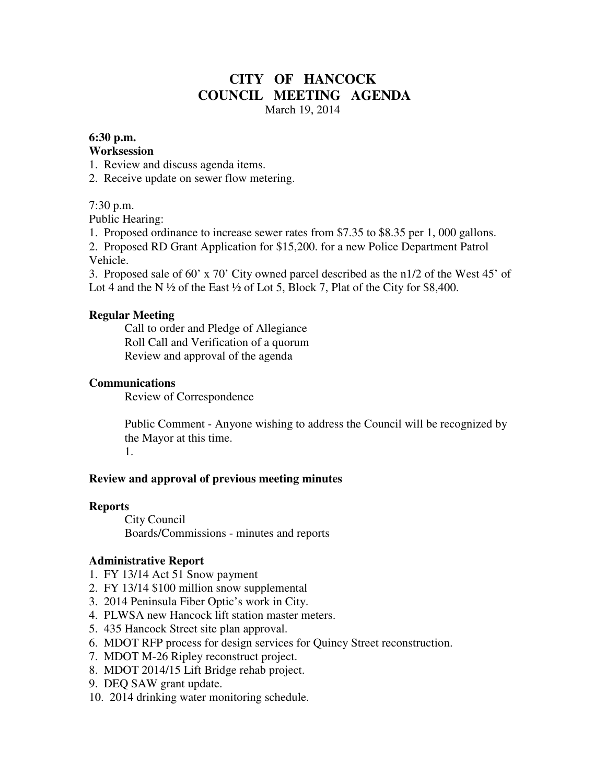## **CITY OF HANCOCK COUNCIL MEETING AGENDA**  March 19, 2014

### **6:30 p.m.**

#### **Worksession**

- 1. Review and discuss agenda items.
- 2. Receive update on sewer flow metering.

## 7:30 p.m.

Public Hearing:

1. Proposed ordinance to increase sewer rates from \$7.35 to \$8.35 per 1, 000 gallons.

2. Proposed RD Grant Application for \$15,200. for a new Police Department Patrol Vehicle.

3. Proposed sale of 60' x 70' City owned parcel described as the n1/2 of the West 45' of Lot 4 and the N  $\frac{1}{2}$  of the East  $\frac{1}{2}$  of Lot 5, Block 7, Plat of the City for \$8,400.

## **Regular Meeting**

 Call to order and Pledge of Allegiance Roll Call and Verification of a quorum Review and approval of the agenda

### **Communications**

Review of Correspondence

 Public Comment - Anyone wishing to address the Council will be recognized by the Mayor at this time. 1.

#### **Review and approval of previous meeting minutes**

#### **Reports**

City Council Boards/Commissions - minutes and reports

## **Administrative Report**

- 1. FY 13/14 Act 51 Snow payment
- 2. FY 13/14 \$100 million snow supplemental
- 3. 2014 Peninsula Fiber Optic's work in City.
- 4. PLWSA new Hancock lift station master meters.
- 5. 435 Hancock Street site plan approval.
- 6. MDOT RFP process for design services for Quincy Street reconstruction.
- 7. MDOT M-26 Ripley reconstruct project.
- 8. MDOT 2014/15 Lift Bridge rehab project.
- 9. DEQ SAW grant update.
- 10. 2014 drinking water monitoring schedule.